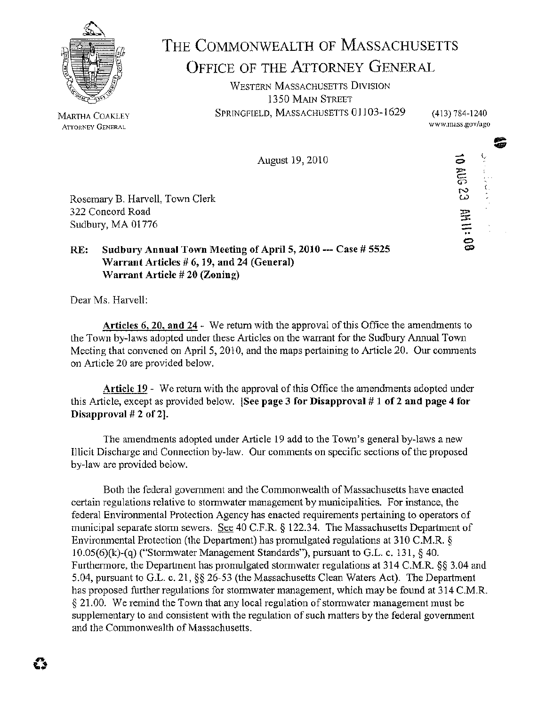

## THE COMMONWEALTH OF MASSACHUSETTS OFFICE OF THE ATTORNEY GENERAL

WESTERN MASSACHUSETTS DIVISION 1350 MAIN STREET SPRINGFIELD, MASSACHUSETTS 01103-1629

| (413) 784-1240   |
|------------------|
| www.mass.gov/ago |
|                  |

 $\vec{0}$ <u>።</u> "<br>" دے<sup>.</sup><br>==  $\overline{a}$ -

ii 11:09

August 19, 2010

Rosemary B. Harvell, Town Clerk 322 Concord Road Sudbury, MA 01776

## **RE:** Sudbury Annual Town Meeting of April 5, 2010 --- Case # 5525 **Warrant Articles# 6, 19, and 24 (General) Warrant Article# 20 (Zoning)**

Dear Ms. Harvell:

Articles 6, 20, and 24 - We return with the approval of this Office the amendments to the Town by-laws adopted under these Articles on the warrant for the Sudbury Annual Town Meeting that convened on April 5, 2010, and the maps pertaining to Article 20. Our comments on Article 20 are provided below.

**Article 19** - We return with the approval of this Office the amendments adopted under this Article, except as provided below. **[See page 3 for Disapproval # 1 of 2 and page 4 for Disapproval# 2 of 2].** 

The amendments adopted under Article 19 add to the Town's general by-laws a new Illicit Discharge and Connection by-law. Our comments on specific sections of the proposed by-law are provided below.

Both the federal government and the Commonwealth of Massachusetts have enacted certain regulations relative to stormwater management by municipalities. For instance, the federal Environmental Protection Agency has enacted requirements pertaining to operators of municipal separate storm sewers. See 40 C.F.R. § 122.34. The Massachusetts Department of Environmental Protection (the Department) has promulgated regulations at 310 C.M.R.  $\S$ 10.05(6)(k)-(q) ("Stormwater Management Standards"), pursuant to *G.L. c*, 131, § 40. Furthermore, the Department has promulgated stormwater regulations at 314 C.M.R. §§ 3.04 and 5.04, pursuant to G.L. c. 21, §§ 26-53 (the Massachusetts Clean Waters Act). The Department has proposed further regulations for stormwater management, which may be found at 314 C.M.R. § 21.00. We remind the Town that any local regulation of stormwater management must be supplementary to and consistent with the regulation of such matters by the federal government and the Commonwealth of Massachusetts.

MARTHA COAKLEY **ATTORNEY GENERAL**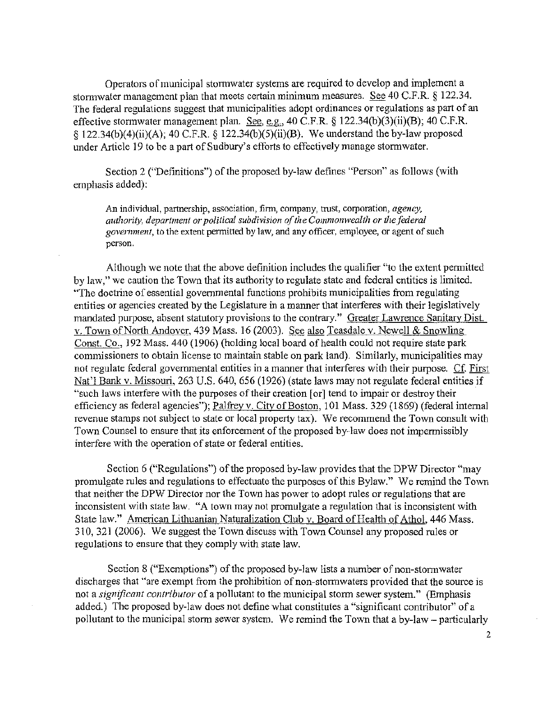Operators of municipal stormwater systems are required to develop and implement a stormwater management plan that meets certain minimum measures. See 40 C.F.R.  $\S$  122.34. The federal regulations suggest that municipalities adopt ordinances or regulations as part of an effective stormwater management plan. See, e.g., 40 C.F.R.  $\S$  122.34(b)(3)(ii)(B); 40 C.F.R. § 122.34(b)(4)(ii)(A); 40 C.F.R. § 122.34(b)(S)(ii)(B). We understand the by-law proposed under Article 19 to be a part of Sudbury's efforts to effectively manage stormwater.

Section 2 ("Definitions") of the proposed by-law defines "Person" as follows (with emphasis added):

An individual, partnership, association, firm, company, trust, corporation, *agency*, *authority, department or political subdivision of the Commonwealth or the federal* government, to the extent permitted by law, and any officer, employee, or agent of such person.

Although we note that the above definition includes the qualifier "to the extent permitted" by law," we caution the Town that its authority to regulate state and federal entities is limited. "The doctrine of essential governmental functions prohibits municipalities from regulating entities or agencies created by the Legislature in a manner that interferes with their legislatively mandated purpose, absent statutory provisions to the contrary." Greater Lawrence Sanitary Dist. v. Town of North Andover, 439 Mass. 16 (2003). See also Teasdale v. Newell & Snowling Const. Co., 192 Mass. 440 (1906) (holding local board of health could not require state park commissioners to obtain license to maintain stable on park land). Similarly, municipalities may not regulate federal governmental entities in a manner that interferes with their purpose. Cf. First Nat'! Bank v. Missouri, 263 U.S. 640, 656 (1926) (state laws may not regulate federal entities if "such laws interfere with the purposes of their creation [or] tend to impair or destroy their efficiency as federal agencies"); Palfrey v. City of Boston, 101 Mass. 329 (1869) (federal internal revenue stamps not subject to state or local property tax). We recommend the Town consult with Town Counsel to ensure that its enforcement of the proposed by-law does not impermissibly interfere with the operation of state or federal entities.

Section 6 ("Regulations") of the proposed by-law provides that the DPW Director "may promulgate rules and regulations to effectuate the purposes of this Bylaw." We remind the Town that neither the DPW Director nor the Town has power to adopt rules or regulations that are inconsistent with state law. "A town may not promulgate a regulation that is inconsistent with State law." American Lithuanian Naturalization Club v. Board of Health of Athol, 446 Mass. 310, 321 (2006). We suggest the Town discuss with Town Counsel any proposed rules or regulations to ensure that they comply with state law.

Section 8 ("Exemptions") of the proposed by-law lists a number of non-stormwater discharges that "are exempt from the prohibition of non-stormwaters provided that the source is not a *significant contributor* of a pollutant to the municipal storm sewer system." (Emphasis added.) The proposed by-law does not define what constitutes a "significant contributor" of a pollutant to the municipal storm sewer system. We remind the Town that a by-law – particularly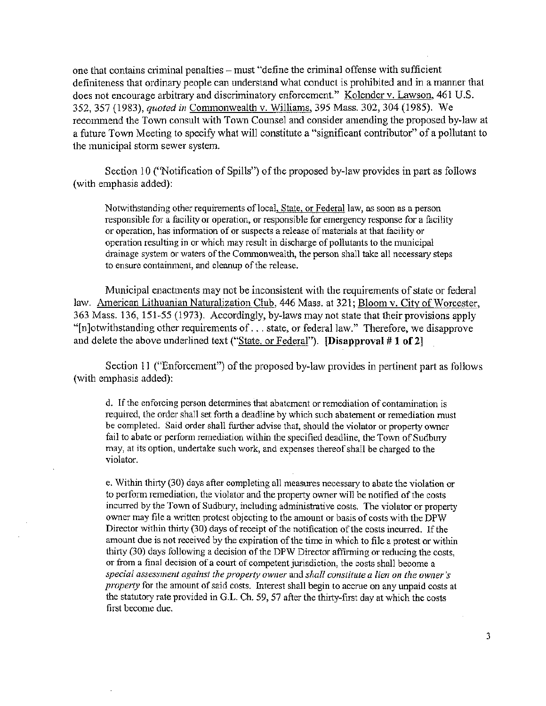one that contains criminal penalties  $-$  must "define the criminal offense with sufficient definiteness that ordinary people can understand what conduct is prohibited and in a manner that does not encourage arbitrary and discriminatory enforcement." Kolender v. Lawson, 461 U.S. 352, 357 {1983), *quoted in* Commonwealth v. Williams, 395 Mass. 302, 304 (1985). We recommend the Town consult with Town Counsel and consider amending the proposed by-law at a future Town Meeting to specify what will constitute a "significant contributor" of a pollutant to the municipal storm sewer system.

Section 10 ("Notification of Spills") of the proposed by-law provides in part as follows (with emphasis added):

Notwithstanding other requirements of local, State, or Federal law, as soon as a person responsible for a facility or operation, or responsible for emergency response for a facility or operation, has information of or suspects a release of materials at that facility or operation resulting in or which may result in discharge of pollutants to the municipal drainage system or waters of the Cormnonwealth, the person shall take all necessary steps to ensure containment, and cleanup of the release.

Municipal enactments may not be inconsistent with the requirements of state or federal law. American Lithuanian Naturalization Club, 446 Mass. at 321; Bloom v. City of Worcester, 363 Mass. 136, 151-55 (1973). Accordingly, by-laws may not state that their provisions apply "[n]otwithstanding other requirements of . . . state, or federal law." Therefore, we disapprove and delete the above underlined text ("State, or Federal"). **[Disapproval # 1 of 2]** 

Section 11 ("Enforcement") of the proposed by-law provides in pertinent part as follows (with emphasis added):

d. If the enforcing person determines that abatement or remediation of contamination is required, the order shall set forth a deadline by which such abatement or remediation must be completed. Said order shall further advise that, should the violator or property owner fail to abate or perform remediation within the specified deadline, the Town of Sudbury may, at its option, undertake such work, and expenses thereof shall be charged to the violator.

e. Within thirty (30) days after completing all measures necessary to abate the violation or to perform remediation, the violator and the property owner will be notified of the costs incurred by the Town of Sudbury, including administrative costs. The violator or property owner may file a written protest objecting to the amount or basis of costs with the  $DPW$ Director within thirty (30) days of receipt of the notification of the costs incurred. If the amount due is not received by the expiration of the time in which to file a protest or within thirty (30) days following a decision of the DPW Director affirming or reducing the costs, or from a final decision of a court of competent jurisdiction, the costs shall become a *special assessnient against the proper!)' owner* and *shall constitute a lien on the owner's property* for the amount of said costs. Interest shall begin to accrue on any unpaid costs at the statutory rate provided in G.L. Ch. 59, 57 after the thirty-first day at which the costs first become due.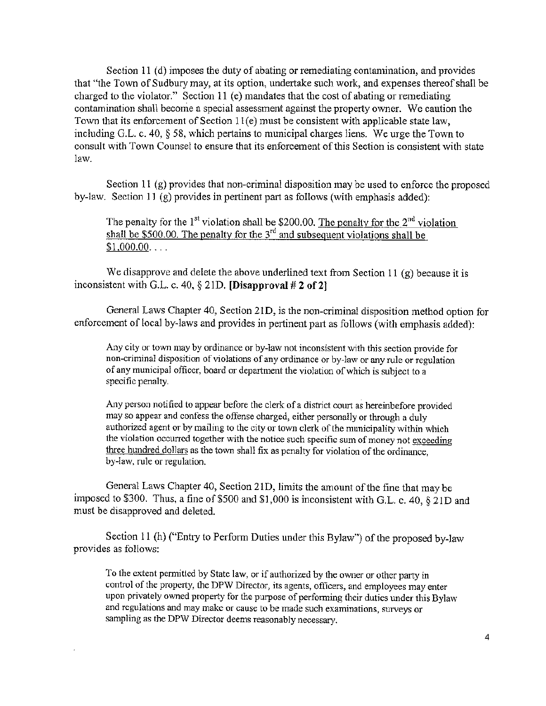Section 11 (d) imposes the duty of abating or remediating contamination, and provides that "the Town of Sudbury may, at its option, undertake such work, and expenses thereof shall be charged to the violator." Section 11 (e) mandates that the cost of abating or remediating contamination shall become a special assessment against the property owner. We caution the Town that its enforcement of Section  $11(e)$  must be consistent with applicable state law, including G.L. c. 40,  $\S$  58, which pertains to municipal charges liens. We urge the Town to consult with Town Counsel to ensure that its enforcement of this Section is consistent with state law.

Section 11 (g) provides that non-criminal disposition may be used to enforce the proposed by-law. Section 11 $(g)$  provides in pertinent part as follows (with emphasis added):

The penalty for the  $1<sup>st</sup>$  violation shall be \$200.00. The penalty for the  $2<sup>nd</sup>$  violation shall be  $$500.00$ . The penalty for the  $3<sup>rd</sup>$  and subsequent violations shall be  $$1,000.00...$ 

We disapprove and delete the above underlined text from Section 11 (g) because it is inconsistent with G.L. c. 40,  $\S$  21D. **[Disapproval # 2 of 2]** 

General Laws Chapter 40, Section 21D, is the non-criminal disposition method option for enforcement of local by-laws and provides in pertinent part as follows (with emphasis added):

Any city or town may by ordinance or by-law not inconsistent with this section provide for non-criminal disposition of violations of any ordinance or by-law or any rule or regulation of any municipal officer, board or department the violation of which is subject to a specific penalty.

Any person notified to appear before the clerk of a district court as hereinbefore provided may so appear and confess the offense charged, either personally or through a duly authorized agent or by mailing to the city or town clerk of the municipality within which the violation occurred together with the notice such specific sum of money not exceeding three hundred dollars as the town shall fix as penalty for violation of the ordinance, by-law, rule or regulation.

General Laws Chapter 40, Section 21D, limits the amount of the fine that may be imposed to \$300. Thus, a fine of \$500 and \$1,000 is inconsistent with G.L. c. 40,  $\S$  21D and must be disapproved and deleted.

Section 11 (h) ("Entry to Perform Duties under this Bylaw") of the proposed by-law provides as follows:

"fo the extent permitted by State law, or if authorized by the owner or other party in control of the property, the DPW Director, its agents, officers, and employees may enter upon privately owned property for the purpose of performing their duties under this Bylaw and regulations and may make or cause to be made such examinations, surveys or sampling as the DPW Director deems reasonably necessary.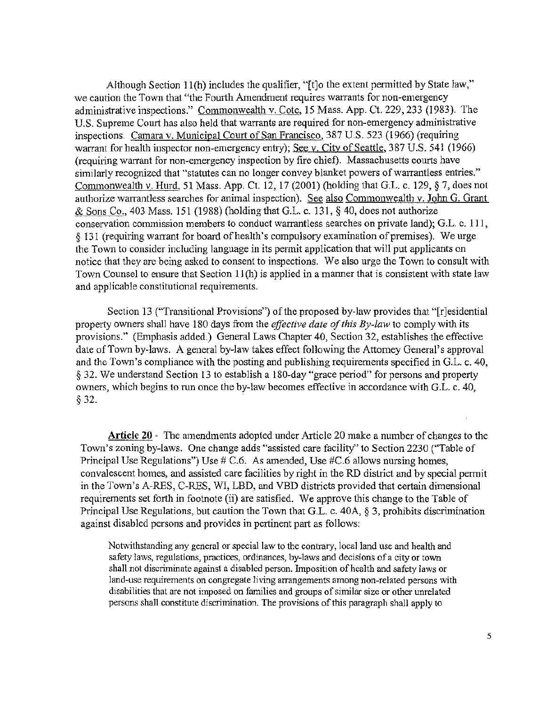Although Section 11(h) includes the qualifier, " $\{t\}$  the extent permitted by State law," we caution the Town that "the Fourth Amendment requires warrants for non-emergency administrative inspections." Commonwealth v. Cote, 15 Mass. App. Ct. 229, 233 (1983). The U.S. Supreme Court has also held that warrants are required for non-emergency administrative inspections. Camara v. Municipal Court of San Francisco, 387 U.S. 523 (1966) (requiring warrant for health inspector non-emergency entry); See v. City of Seattle, 387 U.S. 541 (1966) (requiring warrant for non-emergency inspection by fire chief). Massachusetts courts have similarly recognized that "statutes can no longer convey blanket powers of warrantless entries." Commonwealth v. Hurd, 51 Mass. App. Ct. 12, 17 (2001) (holding that G.L. c. 129, § 7, does not authorize warrantless searches for animal inspection). See also Commonwealth v. John G. Grant  $&$  Sons Co., 403 Mass. 151 (1988) (holding that G.L. c. 131, § 40, does not authorize conservation commission members to conduct warrantless searches on private land); G.L. c.  $111$ ,  $§$  131 (requiring warrant for board of health's compulsory examination of premises). We urge the Town to consider including language in its permit application that will put applicants on notice that they are being asked to consent to inspections. We also urge the Town to consult with Town Counsel to ensure that Section  $11(h)$  is applied in a manner that is consistent with state law and applicable constitutional requirements.

Section 13 ("Transitional Provisions") of the proposed by-law provides that "[r]esidential property owners shall have 180 days from the *effective date of this By-law* to comply with its provisions." (Emphasis added.) General Laws Chapter 40, Section 32, establishes the effective date of Town by-laws. A general by-law takes effect following the Attorney General's approval and the Town's compliance with the posting and publishing requirements specified in G.L. c. 40, § 32. We understand Section 13 to establish a 180-day "grace period" for persons and property owners, which begins to run once the by-law becomes effective in accordance with G.L. c. 40, § 32.

**Article 20** - The amendments adopted under Article 20 make a number of changes to the Town's zoning by-laws. One change adds "assisted care facility" to Section 2230 ("Table of Principal Use Regulations") Use  $# C.6$ . As amended, Use  $# C.6$  allows nursing homes, convalescent homes, and assisted care facilities by right in the RD district and by special permit in the Town's A-RES, C-RES, WI, LBD, and VBD districts provided that certain dimensional requirements set forth in footnote (ii) are satisfied. We approve this change to the Table of Principal Use Regulations, but caution the Town that G.L. c. 40A,  $\S$  3, prohibits discrimination against disabled persons and provides in pertinent part as follows:

Notwithstanding any general or special law to the contrary, local land use and health and safety laws, regulations, practices, ordinances, by-laws and decisions of a city or town shall not discriminate against a disabled person. Imposition of health and safety laws or land-use requirements on congregate living arrangements among non-related persons with disabilities that are not imposed on families and groups of similar size or other unrelated persons shall constitute discrimination. The provisions of this paragraph shall apply to